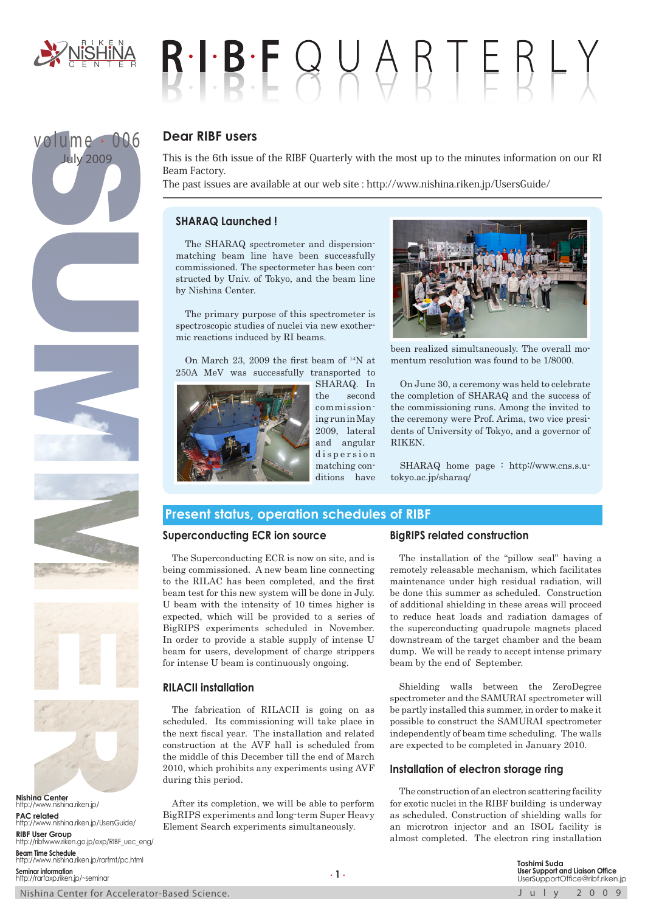

volume . 006 July 2009

# $B \cdot I \cdot B \cdot F \cup A \cup B \top E B \vdash Y$

# **Dear RIBF users**

This is the 6th issue of the RIBF Quarterly with the most up to the minutes information on our RI Beam Factory.

The past issues are available at our web site : http://www.nishina.riken.jp/UsersGuide/

# **SHARAQ Launched !**

The SHARAQ spectrometer and dispersionmatching beam line have been successfully commissioned. The spectormeter has been constructed by Univ. of Tokyo, and the beam line by Nishina Center.

The primary purpose of this spectrometer is spectroscopic studies of nuclei via new exothermic reactions induced by RI beams.

On March 23, 2009 the first beam of 14N at 250A MeV was successfully transported to



SHARAQ. In the second commissioning run in May 2009, lateral and angular d is persion matching conditions have



been realized simultaneously. The overall momentum resolution was found to be 1/8000.

On June 30, a ceremony was held to celebrate the completion of SHARAQ and the success of the commissioning runs. Among the invited to the ceremony were Prof. Arima, two vice presidents of University of Tokyo, and a governor of **RIKEN** 

SHARAQ home page : http://www.cns.s.utokyo.ac.jp/sharaq/

# **Present status, operation schedules of RIBF**

# **Superconducting ECR ion source**

The Superconducting ECR is now on site, and is being commissioned. A new beam line connecting to the RILAC has been completed, and the first beam test for this new system will be done in July. U beam with the intensity of 10 times higher is expected, which will be provided to a series of BigRIPS experiments scheduled in November. In order to provide a stable supply of intense U beam for users, development of charge strippers for intense U beam is continuously ongoing.

# **RILACII installation**

The fabrication of RILACII is going on as scheduled. Its commissioning will take place in the next fiscal year. The installation and related construction at the AVF hall is scheduled from the middle of this December till the end of March 2010, which prohibits any experiments using AVF during this period.

After its completion, we will be able to perform BigRIPS experiments and long-term Super Heavy Element Search experiments simultaneously.

# **BigRIPS related construction**

The installation of the "pillow seal" having a remotely releasable mechanism, which facilitates maintenance under high residual radiation, will be done this summer as scheduled. Construction of additional shielding in these areas will proceed to reduce heat loads and radiation damages of the superconducting quadrupole magnets placed downstream of the target chamber and the beam dump. We will be ready to accept intense primary beam by the end of September.

Shielding walls between the ZeroDegree spectrometer and the SAMURAI spectrometer will be partly installed this summer, in order to make it possible to construct the SAMURAI spectrometer independently of beam time scheduling. The walls are expected to be completed in January 2010.

# **Installation of electron storage ring**

The construction of an electron scattering facility for exotic nuclei in the RIBF building is underway as scheduled. Construction of shielding walls for an microtron injector and an ISOL facility is almost completed. The electron ring installation

Nishina Center for Accelerator-Based Science.<br>
July 2009 **Nishina Center** http://www.nishina.riken.jp/ **PAC related** http://www.nishina.riken.jp/UsersGuide/ **RIBF User Group** http://ribfwww.riken.go.jp/exp/RIBF\_uec\_eng/ **Beam Time Schedule** http://www.nishina.riken.jp/rarfmt/pc.html **Seminar information** http://rarfaxp.riken.jp/~seminar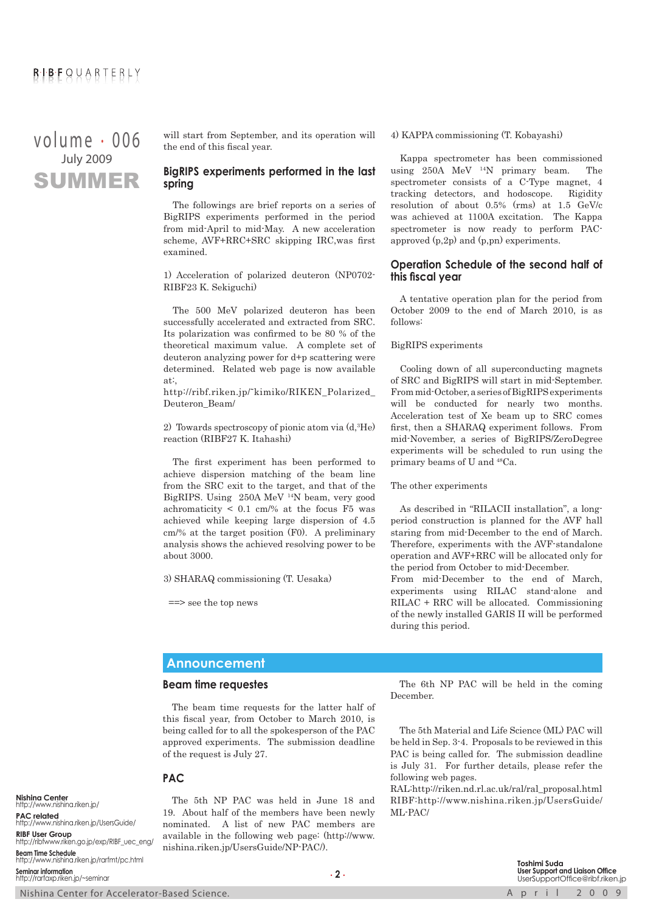# SUMMER volume . 006 July 2009

will start from September, and its operation will the end of this fiscal year.

# **BigRIPS experiments performed in the last spring**

The followings are brief reports on a series of BigRIPS experiments performed in the period from mid-April to mid-May. A new acceleration scheme, AVF+RRC+SRC skipping IRC,was first examined.

1) Acceleration of polarized deuteron (NP0702- RIBF23 K. Sekiguchi)

The 500 MeV polarized deuteron has been successfully accelerated and extracted from SRC. Its polarization was confirmed to be 80 % of the theoretical maximum value. A complete set of deuteron analyzing power for d+p scattering were determined. Related web page is now available at:,

http://ribf.riken.jp/˜kimiko/RIKEN\_Polarized\_ Deuteron\_Beam/

2) Towards spectroscopy of pionic atom via (d,3 He) reaction (RIBF27 K. Itahashi)

The first experiment has been performed to achieve dispersion matching of the beam line from the SRC exit to the target, and that of the BigRIPS. Using 250A MeV 14N beam, very good achromaticity  $\leq 0.1$  cm/% at the focus F5 was achieved while keeping large dispersion of 4.5 cm/% at the target position (F0). A preliminary analysis shows the achieved resolving power to be about 3000.

3) SHARAQ commissioning (T. Uesaka)

==> see the top news

#### 4) KAPPA commissioning (T. Kobayashi)

Kappa spectrometer has been commissioned using  $250A$  MeV  $^{14}N$  primary beam. The spectrometer consists of a C-Type magnet, 4 tracking detectors, and hodoscope. Rigidity resolution of about 0.5% (rms) at 1.5 GeV/c was achieved at 1100A excitation. The Kappa spectrometer is now ready to perform PACapproved (p,2p) and (p,pn) experiments.

#### **Operation Schedule of the second half of this fiscal year**

A tentative operation plan for the period from October 2009 to the end of March 2010, is as follows:

BigRIPS experiments

Cooling down of all superconducting magnets of SRC and BigRIPS will start in mid-September. From mid-October, a series of BigRIPS experiments will be conducted for nearly two months. Acceleration test of Xe beam up to SRC comes first, then a SHARAQ experiment follows. From mid-November, a series of BigRIPS/ZeroDegree experiments will be scheduled to run using the primary beams of U and 48Ca.

#### The other experiments

As described in "RILACII installation", a longperiod construction is planned for the AVF hall staring from mid-December to the end of March. Therefore, experiments with the AVF-standalone operation and AVF+RRC will be allocated only for the period from October to mid-December.

From mid-December to the end of March, experiments using RILAC stand-alone and RILAC + RRC will be allocated. Commissioning of the newly installed GARIS II will be performed during this period.

# **Announcement**

#### **Beam time requestes**

The beam time requests for the latter half of this fiscal year, from October to March 2010, is being called for to all the spokesperson of the PAC approved experiments. The submission deadline of the request is July 27.

**PAC**

The 5th NP PAC was held in June 18 and 19. About half of the members have been newly nominated. A list of new PAC members are available in the following web page: (http://www. nishina.riken.jp/UsersGuide/NP-PAC/).

The 6th NP PAC will be held in the coming December.

The 5th Material and Life Science (ML) PAC will be held in Sep. 3-4. Proposals to be reviewed in this PAC is being called for. The submission deadline is July 31. For further details, please refer the following web pages.

RAL:http://riken.nd.rl.ac.uk/ral/ral\_proposal.html RIBF:http://www.nishina.riken.jp/UsersGuide/ ML-PAC/

**Nishina Center** http://www.nishina.riken.jp/ **PAC related** http://www.nishina.riken.jp/UsersGuide/ **RIBF User Group** http://ribfwww.riken.go.jp/exp/RIBF\_uec\_eng/ **Beam Time Schedule** http://www.nishina.riken.jp/rarfmt/pc.html **Seminar information** http://rarfaxp.riken.jp/~seminar